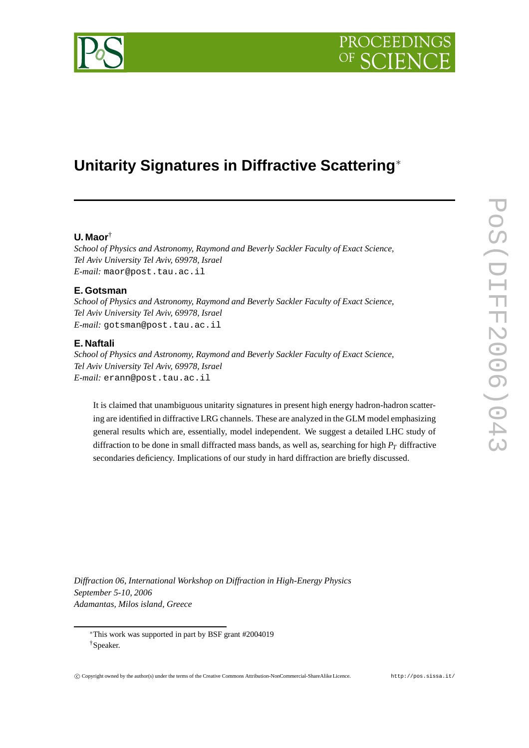

# **Unitarity Signatures in Diffractive Scattering**<sup>∗</sup>

# **U. Maor**†

*School of Physics and Astronomy, Raymond and Beverly Sackler Faculty of Exact Science, Tel Aviv University Tel Aviv, 69978, Israel E-mail:* maor@post.tau.ac.il

## **E. Gotsman**

*School of Physics and Astronomy, Raymond and Beverly Sackler Faculty of Exact Science, Tel Aviv University Tel Aviv, 69978, Israel E-mail:* gotsman@post.tau.ac.il

# **E. Naftali**

*School of Physics and Astronomy, Raymond and Beverly Sackler Faculty of Exact Science, Tel Aviv University Tel Aviv, 69978, Israel E-mail:* erann@post.tau.ac.il

It is claimed that unambiguous unitarity signatures in present high energy hadron-hadron scattering are identified in diffractive LRG channels. These are analyzed in the GLM model emphasizing general results which are, essentially, model independent. We suggest a detailed LHC study of diffraction to be done in small diffracted mass bands, as well as, searching for high *P<sup>T</sup>* diffractive secondaries deficiency. Implications of our study in hard diffraction are briefly discussed.

*Diffraction 06, International Workshop on Diffraction in High-Energy Physics September 5-10, 2006 Adamantas, Milos island, Greece*



<sup>∗</sup>This work was supported in part by BSF grant #2004019 †Speaker.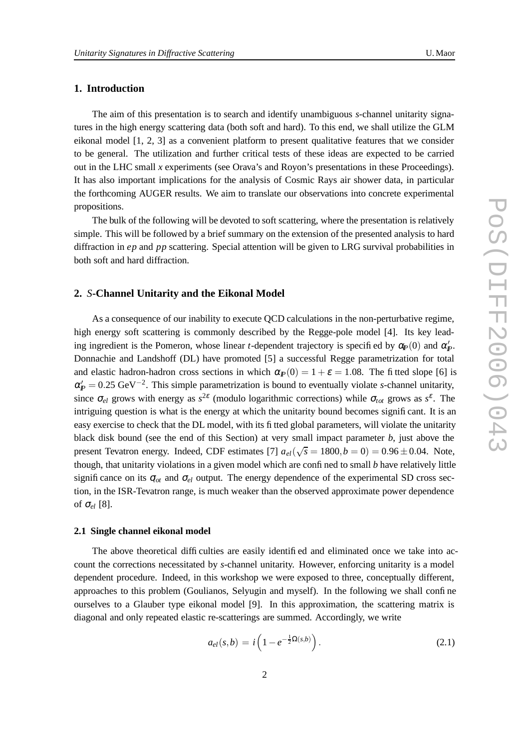# **1. Introduction**

The aim of this presentation is to search and identify unambiguous *s*-channel unitarity signatures in the high energy scattering data (both soft and hard). To this end, we shall utilize the GLM eikonal model [1, 2, 3] as a convenient platform to present qualitative features that we consider to be general. The utilization and further critical tests of these ideas are expected to be carried out in the LHC small *x* experiments (see Orava's and Royon's presentations in these Proceedings). It has also important implications for the analysis of Cosmic Rays air shower data, in particular the forthcoming AUGER results. We aim to translate our observations into concrete experimental propositions.

The bulk of the following will be devoted to soft scattering, where the presentation is relatively simple. This will be followed by a brief summary on the extension of the presented analysis to hard diffraction in *ep* and *pp* scattering. Special attention will be given to LRG survival probabilities in both soft and hard diffraction.

## **2.** *S***-Channel Unitarity and the Eikonal Model**

As a consequence of our inability to execute QCD calculations in the non-perturbative regime, high energy soft scattering is commonly described by the Regge-pole model [4]. Its key leading ingredient is the Pomeron, whose linear *t*-dependent trajectory is specified by  $\alpha_p(0)$  and  $\alpha'_p$ . Donnachie and Landshoff (DL) have promoted [5] a successful Regge parametrization for total and elastic hadron-hadron cross sections in which  $\alpha_P(0) = 1 + \varepsilon = 1.08$ . The fitted slope [6] is  $\alpha'_{\!} = 0.25 \text{ GeV}^{-2}$ . This simple parametrization is bound to eventually violate *s*-channel unitarity, since  $\sigma_{el}$  grows with energy as  $s^{2\varepsilon}$  (modulo logarithmic corrections) while  $\sigma_{tot}$  grows as  $s^{\varepsilon}$ . The intriguing question is what is the energy at which the unitarity bound becomes significant. It is an easy exercise to check that the DL model, with its fitted global parameters, will violate the unitarity black disk bound (see the end of this Section) at very small impact parameter *b*, just above the present Tevatron energy. Indeed, CDF estimates [7]  $a_{el}(\sqrt{s} = 1800, b = 0) = 0.96 \pm 0.04$ . Note, though, that unitarity violations in a given model which are confined to small *b* have relatively little significance on its  $\sigma_{ot}$  and  $\sigma_{el}$  output. The energy dependence of the experimental SD cross section, in the ISR-Tevatron range, is much weaker than the observed approximate power dependence of <sup>σ</sup>*el* [8].

## **2.1 Single channel eikonal model**

The above theoretical difficulties are easily identified and eliminated once we take into account the corrections necessitated by *s*-channel unitarity. However, enforcing unitarity is a model dependent procedure. Indeed, in this workshop we were exposed to three, conceptually different, approaches to this problem (Goulianos, Selyugin and myself). In the following we shall confine ourselves to a Glauber type eikonal model [9]. In this approximation, the scattering matrix is diagonal and only repeated elastic re-scatterings are summed. Accordingly, we write

$$
a_{el}(s,b) = i \left( 1 - e^{-\frac{1}{2}\Omega(s,b)} \right).
$$
 (2.1)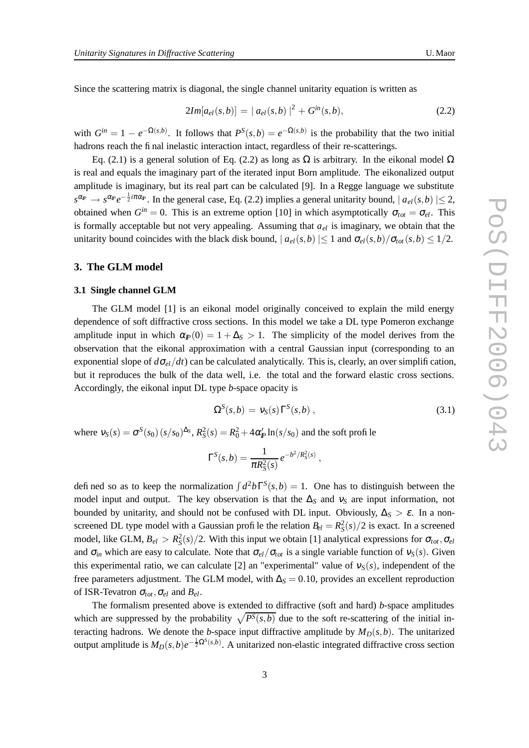Since the scattering matrix is diagonal, the single channel unitarity equation is written as

$$
2Im[a_{el}(s,b)] = |a_{el}(s,b)|^2 + G^{in}(s,b),
$$
\n(2.2)

with  $G^{in} = 1 - e^{-\Omega(s,b)}$ . It follows that  $P^{S}(s,b) = e^{-\Omega(s,b)}$  is the probability that the two initial hadrons reach the final inelastic interaction intact, regardless of their re-scatterings.

Eq. (2.1) is a general solution of Eq. (2.2) as long as Ω is arbitrary. In the eikonal model  $Ω$ is real and equals the imaginary part of the iterated input Born amplitude. The eikonalized output amplitude is imaginary, but its real part can be calculated [9]. In a Regge language we substitute  $s^{\alpha p} \to s^{\alpha p} e^{-\frac{1}{2}i\pi\alpha p}$ . In the general case, Eq. (2.2) implies a general unitarity bound,  $|a_{el}(s,b)| \leq 2$ , obtained when  $G^{in} = 0$ . This is an extreme option [10] in which asymptotically  $\sigma_{tot} = \sigma_{el}$ . This is formally acceptable but not very appealing. Assuming that  $a_{el}$  is imaginary, we obtain that the unitarity bound coincides with the black disk bound,  $| a_{el}(s,b) | \leq 1$  and  $\sigma_{el}(s,b)/\sigma_{tot}(s,b) \leq 1/2$ .

# **3. The GLM model**

## **3.1 Single channel GLM**

The GLM model [1] is an eikonal model originally conceived to explain the mild energy dependence of soft diffractive cross sections. In this model we take a DL type Pomeron exchange amplitude input in which  $\alpha_p(0) = 1 + \Delta_s > 1$ . The simplicity of the model derives from the observation that the eikonal approximation with a central Gaussian input (corresponding to an exponential slope of  $d\sigma_{el}/dt$ ) can be calculated analytically. This is, clearly, an over simplification, but it reproduces the bulk of the data well, i.e. the total and the forward elastic cross sections. Accordingly, the eikonal input DL type *b*-space opacity is

$$
\Omega^{S}(s,b) = v_{S}(s)\Gamma^{S}(s,b), \qquad (3.1)
$$

where  $v_S(s) = \sigma^S(s_0)(s/s_0)^{\Delta_S}$ ,  $R_S^2(s) = R_0^2 + 4\alpha'_P \ln(s/s_0)$  and the soft profile

$$
\Gamma^{S}(s,b) = \frac{1}{\pi R_{S}^{2}(s)} e^{-b^{2}/R_{S}^{2}(s)},
$$

defined so as to keep the normalization  $\int d^2b\Gamma^S(s,b) = 1$ . One has to distinguish between the model input and output. The key observation is that the  $\Delta$ <sup>S</sup> and  $v_s$  are input information, not bounded by unitarity, and should not be confused with DL input. Obviously,  $\Delta$ <sub>*S*</sub> >  $\varepsilon$ . In a nonscreened DL type model with a Gaussian profile the relation  $B_{el} = R_S^2(s)/2$  is exact. In a screened model, like GLM,  $B_{el} > R_S^2(s)/2$ . With this input we obtain [1] analytical expressions for  $\sigma_{tot}$ ,  $\sigma_{el}$ and  $\sigma_{in}$  which are easy to calculate. Note that  $\sigma_{el}/\sigma_{tot}$  is a single variable function of  $v_S(s)$ . Given this experimental ratio, we can calculate [2] an "experimental" value of  $v_s(s)$ , independent of the free parameters adjustment. The GLM model, with  $\Delta$ <sub>S</sub> = 0.10, provides an excellent reproduction of ISR-Tevatron  $\sigma_{tot}$ ,  $\sigma_{el}$  and  $B_{el}$ .

The formalism presented above is extended to diffractive (soft and hard) *b*-space amplitudes which are suppressed by the probability  $\sqrt{P^S(s,b)}$  due to the soft re-scattering of the initial interacting hadrons. We denote the *b*-space input diffractive amplitude by  $M_D(s, b)$ . The unitarized output amplitude is  $M_D(s,b)e^{-\frac{1}{2}\Omega^S(s,b)}$ . A unitarized non-elastic integrated diffractive cross section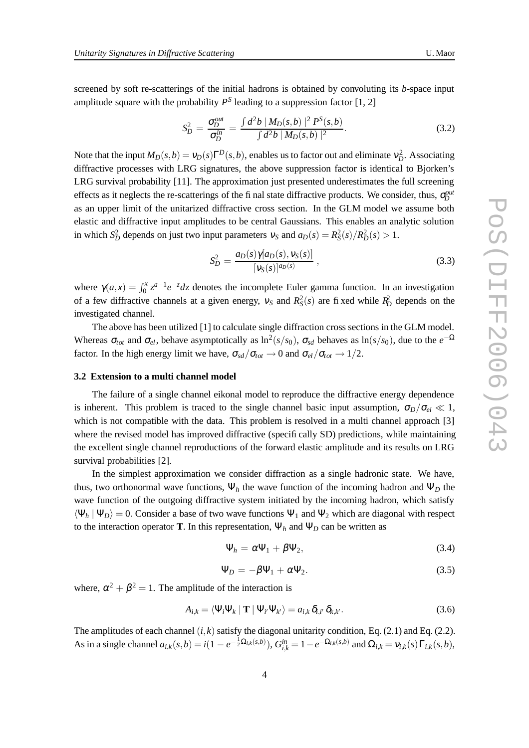screened by soft re-scatterings of the initial hadrons is obtained by convoluting its *b*-space input amplitude square with the probability  $P<sup>S</sup>$  leading to a suppression factor [1, 2]

$$
S_D^2 = \frac{\sigma_D^{out}}{\sigma_D^{in}} = \frac{\int d^2b \, | \, M_D(s,b) \, |^2 \, P^S(s,b)}{\int d^2b \, | \, M_D(s,b) \, |^2}.
$$
\n(3.2)

Note that the input  $M_D(s,b) = v_D(s)\Gamma^D(s,b)$ , enables us to factor out and eliminate  $v_D^2$ . Associating diffractive processes with LRG signatures, the above suppression factor is identical to Bjorken's LRG survival probability [11]. The approximation just presented underestimates the full screening effects as it neglects the re-scatterings of the final state diffractive products. We consider, thus,  $\sigma_D^{out}$ as an upper limit of the unitarized diffractive cross section. In the GLM model we assume both elastic and diffractive input amplitudes to be central Gaussians. This enables an analytic solution in which  $S_D^2$  depends on just two input parameters  $v_S$  and  $a_D(s) = R_S^2(s)/R_D^2(s) > 1$ .

$$
S_D^2 = \frac{a_D(s)\gamma[a_D(s), \nu_S(s)]}{[\nu_S(s)]^{a_D(s)}},
$$
\n(3.3)

where  $\gamma(a,x) = \int_0^x z^{a-1} e^{-z} dz$  denotes the incomplete Euler gamma function. In an investigation of a few diffractive channels at a given energy,  $v_S$  and  $R_S^2(s)$  are fixed while  $R_D^2$  depends on the investigated channel.

The above has been utilized [1] to calculate single diffraction cross sections in the GLM model. Whereas  $\sigma_{tot}$  and  $\sigma_{el}$ , behave asymptotically as  $\ln^2(s/s_0)$ ,  $\sigma_{sd}$  behaves as  $\ln(s/s_0)$ , due to the  $e^{-\Omega}$ factor. In the high energy limit we have,  $\sigma_{sd}/\sigma_{tot} \rightarrow 0$  and  $\sigma_{el}/\sigma_{tot} \rightarrow 1/2$ .

## **3.2 Extension to a multi channel model**

The failure of a single channel eikonal model to reproduce the diffractive energy dependence is inherent. This problem is traced to the single channel basic input assumption,  $\sigma_D/\sigma_{el} \ll 1$ , which is not compatible with the data. This problem is resolved in a multi channel approach [3] where the revised model has improved diffractive (specifically SD) predictions, while maintaining the excellent single channel reproductions of the forward elastic amplitude and its results on LRG survival probabilities [2].

In the simplest approximation we consider diffraction as a single hadronic state. We have, thus, two orthonormal wave functions,  $\Psi_h$  the wave function of the incoming hadron and  $\Psi_D$  the wave function of the outgoing diffractive system initiated by the incoming hadron, which satisfy  $\langle \Psi_h | \Psi_D \rangle = 0$ . Consider a base of two wave functions  $\Psi_1$  and  $\Psi_2$  which are diagonal with respect to the interaction operator **T**. In this representation,  $\Psi_h$  and  $\Psi_D$  can be written as

$$
\Psi_h = \alpha \Psi_1 + \beta \Psi_2, \tag{3.4}
$$

$$
\Psi_D = -\beta \Psi_1 + \alpha \Psi_2. \tag{3.5}
$$

where,  $\alpha^2 + \beta^2 = 1$ . The amplitude of the interaction is

$$
A_{i,k} = \langle \Psi_i \Psi_k \mid \mathbf{T} \mid \Psi_{i'} \Psi_{k'} \rangle = a_{i,k} \, \delta_{i,i'} \, \delta_{k,k'}.
$$

The amplitudes of each channel  $(i, k)$  satisfy the diagonal unitarity condition, Eq. (2.1) and Eq. (2.2). As in a single channel  $a_{i,k}(s,b) = i(1 - e^{-\frac{1}{2}\Omega_{i,k}(s,b)})$ ,  $G_{i,k}^{in} = 1 - e^{-\Omega_{i,k}(s,b)}$  and  $\Omega_{i,k} = v_{i,k}(s) \Gamma_{i,k}(s,b)$ ,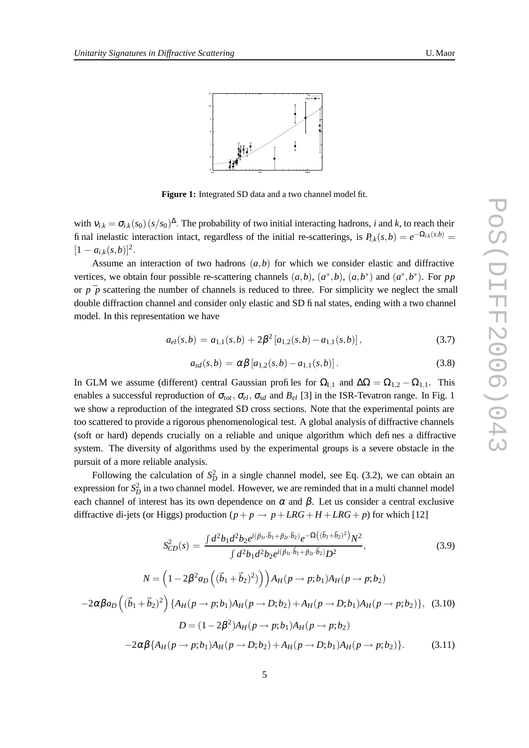

**Figure 1:** Integrated SD data and a two channel model fit.

with  $v_{i,k} = \sigma_{i,k}(s_0)(s/s_0)^{\Delta}$ . The probability of two initial interacting hadrons, *i* and *k*, to reach their final inelastic interaction intact, regardless of the initial re-scatterings, is  $P_{i,k}(s,b) = e^{-\Omega_{i,k}(s,b)}$  $[1 - a_{i,k}(s,b)]^2$ .

Assume an interaction of two hadrons  $(a, b)$  for which we consider elastic and diffractive vertices, we obtain four possible re-scattering channels  $(a,b)$ ,  $(a^*,b)$ ,  $(a,b^*)$  and  $(a^*,b^*)$ . For pp or  $p \bar{p}$  scattering the number of channels is reduced to three. For simplicity we neglect the small double diffraction channel and consider only elastic and SD final states, ending with a two channel model. In this representation we have

$$
a_{el}(s,b) = a_{1,1}(s,b) + 2\beta^2 \left[ a_{1,2}(s,b) - a_{1,1}(s,b) \right],\tag{3.7}
$$

$$
a_{sd}(s,b) = \alpha \beta \left[ a_{1,2}(s,b) - a_{1,1}(s,b) \right]. \tag{3.8}
$$

In GLM we assume (different) central Gaussian profiles for  $\Omega_{1,1}$  and  $\Delta\Omega = \Omega_{1,2} - \Omega_{1,1}$ . This enables a successful reproduction of  $\sigma_{tot}$ ,  $\sigma_{el}$ ,  $\sigma_{sd}$  and  $B_{el}$  [3] in the ISR-Tevatron range. In Fig. 1 we show a reproduction of the integrated SD cross sections. Note that the experimental points are too scattered to provide a rigorous phenomenological test. A global analysis of diffractive channels (soft or hard) depends crucially on a reliable and unique algorithm which defines a diffractive system. The diversity of algorithms used by the experimental groups is a severe obstacle in the pursuit of a more reliable analysis.

Following the calculation of  $S_D^2$  in a single channel model, see Eq. (3.2), we can obtain an expression for  $S_D^2$  in a two channel model. However, we are reminded that in a multi channel model each channel of interest has its own dependence on  $\alpha$  and  $\beta$ . Let us consider a central exclusive diffractive di-jets (or Higgs) production  $(p + p \rightarrow p + LRG + H + LRG + p)$  for which [12]

$$
S_{CD}^{2}(s) = \frac{\int d^{2}b_{1}d^{2}b_{2}e^{i(\vec{p}_{1t}\cdot\vec{b}_{1}+\vec{p}_{2t}\cdot\vec{b}_{2})}e^{-\Omega((\vec{b}_{1}+\vec{b}_{2})^{2})}N^{2}}{\int d^{2}b_{1}d^{2}b_{2}e^{i(\vec{p}_{1t}\cdot\vec{b}_{1}+\vec{p}_{2t}\cdot\vec{b}_{2})}D^{2}}, \qquad (3.9)
$$
\n
$$
N = \left(1 - 2\beta^{2}a_{D}\left((\vec{b}_{1}+\vec{b}_{2})^{2}\right)\right)A_{H}(p \to p;b_{1})A_{H}(p \to p;b_{2})
$$
\n
$$
-2\alpha\beta a_{D}\left((\vec{b}_{1}+\vec{b}_{2})^{2}\right)\left\{A_{H}(p \to p;b_{1})A_{H}(p \to D;b_{2})+A_{H}(p \to D;b_{1})A_{H}(p \to p;b_{2})\right\}, \qquad (3.10)
$$
\n
$$
D = (1 - 2\beta^{2})A_{H}(p \to p;b_{1})A_{H}(p \to p;b_{2})
$$
\n
$$
-2\alpha\beta\left\{A_{H}(p \to p;b_{1})A_{H}(p \to D;b_{2})+A_{H}(p \to D;b_{1})A_{H}(p \to p;b_{2})\right\}. \qquad (3.11)
$$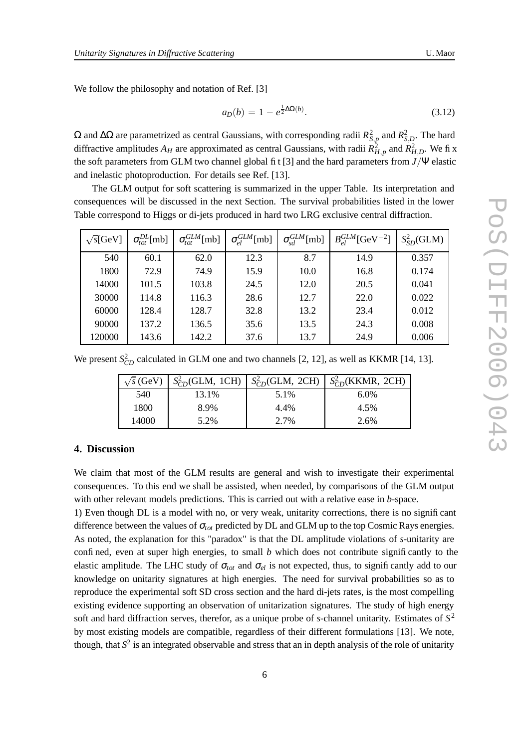We follow the philosophy and notation of Ref. [3]

$$
a_D(b) = 1 - e^{\frac{1}{2}\Delta\Omega(b)}.
$$
\n(3.12)

 $\Omega$  and  $\Delta\Omega$  are parametrized as central Gaussians, with corresponding radii  $R_{S,p}^2$  and  $R_{S,D}^2$ . The hard diffractive amplitudes  $A_H$  are approximated as central Gaussians, with radii  $R_{H,p}^2$  and  $R_{H,D}^2$ . We fi x the soft parameters from GLM two channel global fit [3] and the hard parameters from *J*/Ψ elastic and inelastic photoproduction. For details see Ref. [13].

The GLM output for soft scattering is summarized in the upper Table. Its interpretation and consequences will be discussed in the next Section. The survival probabilities listed in the lower Table correspond to Higgs or di-jets produced in hard two LRG exclusive central diffraction.

| $\sqrt{s}$ [GeV] | $\sigma_{tot}^{DL}$ [mb] | $\sigma_{tot}^{GLM}$ [mb] | $\sigma_{el}^{GLM}$ [mb] | $\sigma_{sd}^{GLM}[\text{mb}]$ | $B_{ol}^{GLM}[\rm{GeV}^{-2}]$ | $S_{SD}^2$ (GLM) |
|------------------|--------------------------|---------------------------|--------------------------|--------------------------------|-------------------------------|------------------|
| 540              | 60.1                     | 62.0                      | 12.3                     | 8.7                            | 14.9                          | 0.357            |
| 1800             | 72.9                     | 74.9                      | 15.9                     | 10.0                           | 16.8                          | 0.174            |
| 14000            | 101.5                    | 103.8                     | 24.5                     | 12.0                           | 20.5                          | 0.041            |
| 30000            | 114.8                    | 116.3                     | 28.6                     | 12.7                           | 22.0                          | 0.022            |
| 60000            | 128.4                    | 128.7                     | 32.8                     | 13.2                           | 23.4                          | 0.012            |
| 90000            | 137.2                    | 136.5                     | 35.6                     | 13.5                           | 24.3                          | 0.008            |
| 120000           | 143.6                    | 142.2                     | 37.6                     | 13.7                           | 24.9                          | 0.006            |

We present  $S_{CD}^2$  calculated in GLM one and two channels [2, 12], as well as KKMR [14, 13].

| $\sqrt{s}$ (GeV) |       |      | $S_{CD}^2$ (GLM, 1CH)   $S_{CD}^2$ (GLM, 2CH)   $S_{CD}^2$ (KKMR, 2CH) |
|------------------|-------|------|------------------------------------------------------------------------|
| 540              | 13.1% | 5.1% | $6.0\%$                                                                |
| 1800             | 8.9%  | 4.4% | 4.5%                                                                   |
| 14000            | 5.2%  | 2.7% | 2.6%                                                                   |

## **4. Discussion**

We claim that most of the GLM results are general and wish to investigate their experimental consequences. To this end we shall be assisted, when needed, by comparisons of the GLM output with other relevant models predictions. This is carried out with a relative ease in *b*-space.

1) Even though DL is a model with no, or very weak, unitarity corrections, there is no significant difference between the values of <sup>σ</sup>*tot* predicted by DL and GLM up to the top Cosmic Rays energies. As noted, the explanation for this "paradox" is that the DL amplitude violations of *s*-unitarity are confined, even at super high energies, to small *b* which does not contribute significantly to the elastic amplitude. The LHC study of  $\sigma_{tot}$  and  $\sigma_{el}$  is not expected, thus, to significantly add to our knowledge on unitarity signatures at high energies. The need for survival probabilities so as to reproduce the experimental soft SD cross section and the hard di-jets rates, is the most compelling existing evidence supporting an observation of unitarization signatures. The study of high energy soft and hard diffraction serves, therefor, as a unique probe of *s*-channel unitarity. Estimates of *S* 2 by most existing models are compatible, regardless of their different formulations [13]. We note, though, that *S* 2 is an integrated observable and stress that an in depth analysis of the role of unitarity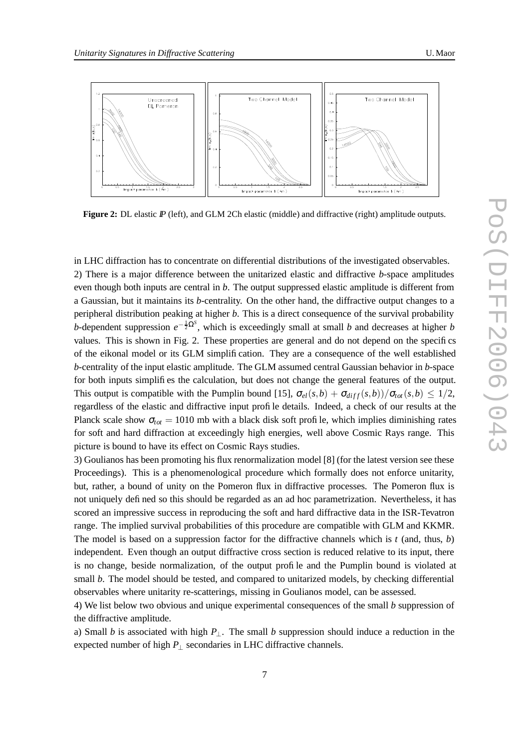

**Figure 2:** DL elastic  $\mathbb{P}$  (left), and GLM 2Ch elastic (middle) and diffractive (right) amplitude outputs.

in LHC diffraction has to concentrate on differential distributions of the investigated observables. 2) There is a major difference between the unitarized elastic and diffractive *b*-space amplitudes even though both inputs are central in *b*. The output suppressed elastic amplitude is different from a Gaussian, but it maintains its *b*-centrality. On the other hand, the diffractive output changes to a peripheral distribution peaking at higher *b*. This is a direct consequence of the survival probability *b*-dependent suppression  $e^{-\frac{1}{2}\Omega^{S}}$ , which is exceedingly small at small *b* and decreases at higher *b* values. This is shown in Fig. 2. These properties are general and do not depend on the specifics of the eikonal model or its GLM simplification. They are a consequence of the well established *b*-centrality of the input elastic amplitude. The GLM assumed central Gaussian behavior in *b*-space for both inputs simplifies the calculation, but does not change the general features of the output. This output is compatible with the Pumplin bound [15],  $\sigma_{el}(s,b) + \sigma_{diff}(s,b)/\sigma_{tot}(s,b) \leq 1/2$ , regardless of the elastic and diffractive input profile details. Indeed, a check of our results at the Planck scale show  $\sigma_{tot} = 1010$  mb with a black disk soft profile, which implies diminishing rates for soft and hard diffraction at exceedingly high energies, well above Cosmic Rays range. This picture is bound to have its effect on Cosmic Rays studies.

3) Goulianos has been promoting his flux renormalization model [8] (for the latest version see these Proceedings). This is a phenomenological procedure which formally does not enforce unitarity, but, rather, a bound of unity on the Pomeron flux in diffractive processes. The Pomeron flux is not uniquely defined so this should be regarded as an ad hoc parametrization. Nevertheless, it has scored an impressive success in reproducing the soft and hard diffractive data in the ISR-Tevatron range. The implied survival probabilities of this procedure are compatible with GLM and KKMR. The model is based on a suppression factor for the diffractive channels which is *t* (and, thus, *b*) independent. Even though an output diffractive cross section is reduced relative to its input, there is no change, beside normalization, of the output profile and the Pumplin bound is violated at small *b*. The model should be tested, and compared to unitarized models, by checking differential observables where unitarity re-scatterings, missing in Goulianos model, can be assessed.

4) We list below two obvious and unique experimental consequences of the small *b* suppression of the diffractive amplitude.

a) Small *b* is associated with high  $P_{\perp}$ . The small *b* suppression should induce a reduction in the expected number of high *P*<sup>⊥</sup> secondaries in LHC diffractive channels.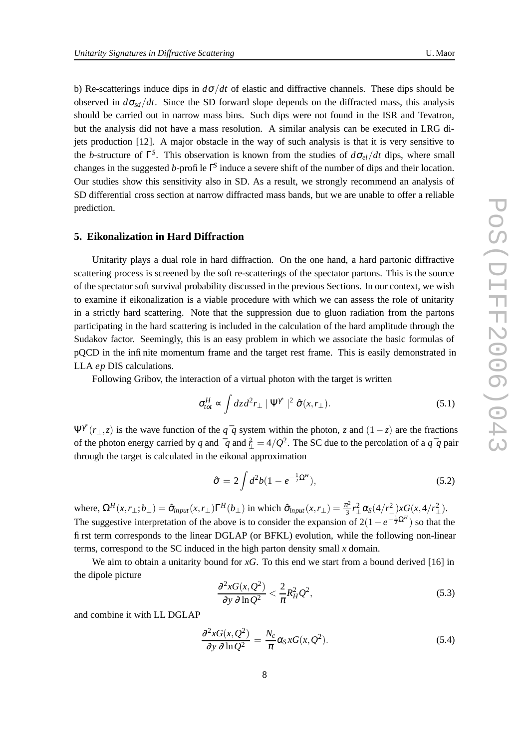b) Re-scatterings induce dips in  $d\sigma/dt$  of elastic and diffractive channels. These dips should be observed in  $d\sigma_{sd}/dt$ . Since the SD forward slope depends on the diffracted mass, this analysis should be carried out in narrow mass bins. Such dips were not found in the ISR and Tevatron, but the analysis did not have a mass resolution. A similar analysis can be executed in LRG dijets production [12]. A major obstacle in the way of such analysis is that it is very sensitive to the *b*-structure of  $\Gamma^{S}$ . This observation is known from the studies of  $d\sigma_{el}/dt$  dips, where small changes in the suggested *b*-profile Γ *S* induce a severe shift of the number of dips and their location. Our studies show this sensitivity also in SD. As a result, we strongly recommend an analysis of SD differential cross section at narrow diffracted mass bands, but we are unable to offer a reliable prediction.

## **5. Eikonalization in Hard Diffraction**

Unitarity plays a dual role in hard diffraction. On the one hand, a hard partonic diffractive scattering process is screened by the soft re-scatterings of the spectator partons. This is the source of the spectator soft survival probability discussed in the previous Sections. In our context, we wish to examine if eikonalization is a viable procedure with which we can assess the role of unitarity in a strictly hard scattering. Note that the suppression due to gluon radiation from the partons participating in the hard scattering is included in the calculation of the hard amplitude through the Sudakov factor. Seemingly, this is an easy problem in which we associate the basic formulas of pQCD in the infinite momentum frame and the target rest frame. This is easily demonstrated in LLA *ep* DIS calculations.

Following Gribov, the interaction of a virtual photon with the target is written

$$
\sigma_{tot}^H \propto \int dz \, d^2 r_\perp \mid \Psi^{\gamma^*} \mid^2 \hat{\sigma}(x, r_\perp). \tag{5.1}
$$

 $\Psi^{\gamma*}(r_\perp, z)$  is the wave function of the  $q^-q$  system within the photon, *z* and  $(1-z)$  are the fractions of the photon energy carried by *q* and  $\frac{7}{4} = 4/Q^2$ . The SC due to the percolation of a *q* <sup>-</sup>*q* pair through the target is calculated in the eikonal approximation

$$
\hat{\sigma} = 2 \int d^2 b (1 - e^{-\frac{1}{2}\Omega^H}), \tag{5.2}
$$

where,  $\Omega^H(x, r_\perp; b_\perp) = \hat{\sigma}_{\text{input}}(x, r_\perp) \Gamma^H(b_\perp)$  in which  $\hat{\sigma}_{\text{input}}(x, r_\perp) = \frac{\pi^2}{3}$  $\frac{\tau^2}{3}r_\perp^2\alpha_S(4/r_\perp^2)$  $\frac{2}{1}$ )*xG*(*x*,4/*r*<sup>2</sup>)  $^2_{\perp}$ ). The suggestive interpretation of the above is to consider the expansion of  $2(1-e^{-\frac{1}{2}\Omega^H})$  so that the first term corresponds to the linear DGLAP (or BFKL) evolution, while the following non-linear terms, correspond to the SC induced in the high parton density small *x* domain.

We aim to obtain a unitarity bound for *xG*. To this end we start from a bound derived [16] in the dipole picture

$$
\frac{\partial^2 x G(x, Q^2)}{\partial y \partial \ln Q^2} < \frac{2}{\pi} R_H^2 Q^2,\tag{5.3}
$$

and combine it with LL DGLAP

$$
\frac{\partial^2 x G(x, Q^2)}{\partial y \partial \ln Q^2} = \frac{N_c}{\pi} \alpha_S x G(x, Q^2).
$$
\n(5.4)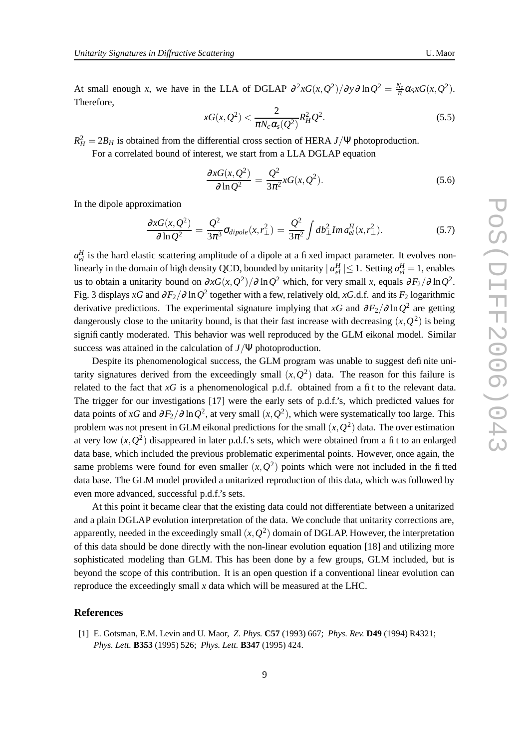At small enough *x*, we have in the LLA of DGLAP  $\frac{\partial^2 x G(x, Q^2)}{\partial y \partial \ln Q^2} = \frac{N_c}{\pi} \alpha_S x G(x, Q^2)$ . Therefore,

$$
xG(x, Q^2) < \frac{2}{\pi N_c \alpha_s(Q^2)} R_H^2 Q^2. \tag{5.5}
$$

 $R_H^2 = 2B_H$  is obtained from the differential cross section of HERA *J*/Ψ photoproduction.

For a correlated bound of interest, we start from a LLA DGLAP equation

$$
\frac{\partial xG(x, Q^2)}{\partial \ln Q^2} = \frac{Q^2}{3\pi^2} xG(x, Q^2).
$$
\n(5.6)

In the dipole approximation

$$
\frac{\partial xG(x,Q^2)}{\partial \ln Q^2} = \frac{Q^2}{3\pi^3} \sigma_{dipole}(x,r_\perp^2) = \frac{Q^2}{3\pi^2} \int db_\perp^2 Im \, d_{el}^H(x,r_\perp^2). \tag{5.7}
$$

 $a_{el}^H$  is the hard elastic scattering amplitude of a dipole at a fixed impact parameter. It evolves nonlinearly in the domain of high density QCD, bounded by unitarity  $| a_{el}^H | \leq 1$ . Setting  $a_{el}^H = 1$ , enables us to obtain a unitarity bound on  $\partial xG(x, Q^2)/\partial \ln Q^2$  which, for very small *x*, equals  $\partial F_2/\partial \ln Q^2$ . Fig. 3 displays *xG* and <sup>∂</sup>*F*2/<sup>∂</sup> ln*Q* 2 together with a few, relatively old, *xG*.d.f. and its *F*<sup>2</sup> logarithmic derivative predictions. The experimental signature implying that *xG* and <sup>∂</sup>*F*2/<sup>∂</sup> ln*Q* 2 are getting dangerously close to the unitarity bound, is that their fast increase with decreasing  $(x, Q^2)$  is being significantly moderated. This behavior was well reproduced by the GLM eikonal model. Similar success was attained in the calculation of *J*/Ψ photoproduction.

Despite its phenomenological success, the GLM program was unable to suggest definite unitarity signatures derived from the exceedingly small  $(x, Q^2)$  data. The reason for this failure is related to the fact that  $xG$  is a phenomenological p.d.f. obtained from a fit to the relevant data. The trigger for our investigations [17] were the early sets of p.d.f.'s, which predicted values for data points of *xG* and  $\partial F_2/\partial \ln Q^2$ , at very small  $(x, Q^2)$ , which were systematically too large. This problem was not present in GLM eikonal predictions for the small  $(x,Q^2)$  data. The over estimation at very low  $(x, Q^2)$  disappeared in later p.d.f.'s sets, which were obtained from a fit to an enlarged data base, which included the previous problematic experimental points. However, once again, the same problems were found for even smaller  $(x, Q^2)$  points which were not included in the fitted data base. The GLM model provided a unitarized reproduction of this data, which was followed by even more advanced, successful p.d.f.'s sets.

At this point it became clear that the existing data could not differentiate between a unitarized and a plain DGLAP evolution interpretation of the data. We conclude that unitarity corrections are, apparently, needed in the exceedingly small  $(x, Q^2)$  domain of DGLAP. However, the interpretation of this data should be done directly with the non-linear evolution equation [18] and utilizing more sophisticated modeling than GLM. This has been done by a few groups, GLM included, but is beyond the scope of this contribution. It is an open question if a conventional linear evolution can reproduce the exceedingly small *x* data which will be measured at the LHC.

## **References**

[1] E. Gotsman, E.M. Levin and U. Maor, *Z. Phys.* **C57** (1993) 667; *Phys. Rev.* **D49** (1994) R4321; *Phys. Lett.* **B353** (1995) 526; *Phys. Lett.* **B347** (1995) 424.